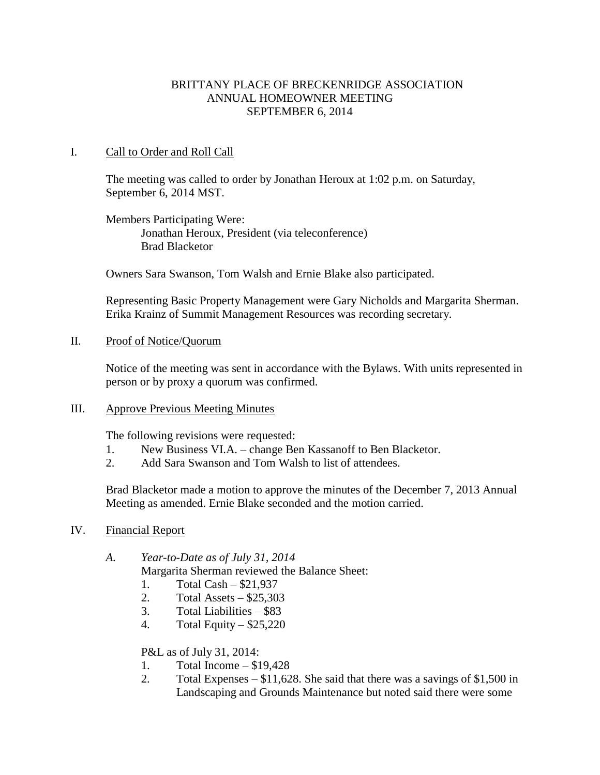## BRITTANY PLACE OF BRECKENRIDGE ASSOCIATION ANNUAL HOMEOWNER MEETING SEPTEMBER 6, 2014

### I. Call to Order and Roll Call

The meeting was called to order by Jonathan Heroux at 1:02 p.m. on Saturday, September 6, 2014 MST.

Members Participating Were: Jonathan Heroux, President (via teleconference) Brad Blacketor

Owners Sara Swanson, Tom Walsh and Ernie Blake also participated.

Representing Basic Property Management were Gary Nicholds and Margarita Sherman. Erika Krainz of Summit Management Resources was recording secretary.

II. Proof of Notice/Quorum

Notice of the meeting was sent in accordance with the Bylaws. With units represented in person or by proxy a quorum was confirmed.

#### III. Approve Previous Meeting Minutes

The following revisions were requested:

- 1. New Business VI.A. change Ben Kassanoff to Ben Blacketor.
- 2. Add Sara Swanson and Tom Walsh to list of attendees.

Brad Blacketor made a motion to approve the minutes of the December 7, 2013 Annual Meeting as amended. Ernie Blake seconded and the motion carried.

IV. Financial Report

Margarita Sherman reviewed the Balance Sheet:

- 1. Total Cash \$21,937
- 2. Total Assets \$25,303
- 3. Total Liabilities \$83
- 4. Total Equity \$25,220

P&L as of July 31, 2014:

- 1. Total Income \$19,428
- 2. Total Expenses \$11,628. She said that there was a savings of \$1,500 in Landscaping and Grounds Maintenance but noted said there were some

*A. Year-to-Date as of July 31, 2014*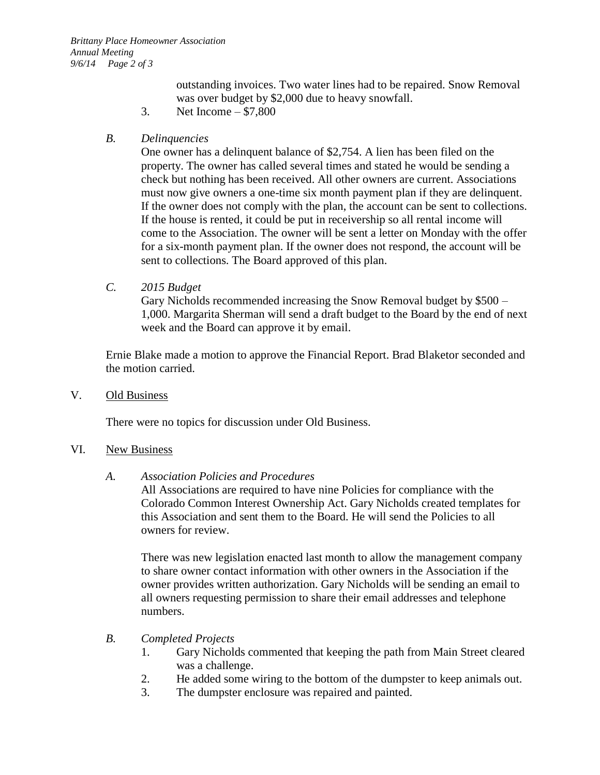outstanding invoices. Two water lines had to be repaired. Snow Removal was over budget by \$2,000 due to heavy snowfall.

3. Net Income – \$7,800

# *B. Delinquencies*

One owner has a delinquent balance of \$2,754. A lien has been filed on the property. The owner has called several times and stated he would be sending a check but nothing has been received. All other owners are current. Associations must now give owners a one-time six month payment plan if they are delinquent. If the owner does not comply with the plan, the account can be sent to collections. If the house is rented, it could be put in receivership so all rental income will come to the Association. The owner will be sent a letter on Monday with the offer for a six-month payment plan. If the owner does not respond, the account will be sent to collections. The Board approved of this plan.

*C. 2015 Budget*

Gary Nicholds recommended increasing the Snow Removal budget by \$500 – 1,000. Margarita Sherman will send a draft budget to the Board by the end of next week and the Board can approve it by email.

Ernie Blake made a motion to approve the Financial Report. Brad Blaketor seconded and the motion carried.

V. Old Business

There were no topics for discussion under Old Business.

### VI. New Business

### *A. Association Policies and Procedures*

All Associations are required to have nine Policies for compliance with the Colorado Common Interest Ownership Act. Gary Nicholds created templates for this Association and sent them to the Board. He will send the Policies to all owners for review.

There was new legislation enacted last month to allow the management company to share owner contact information with other owners in the Association if the owner provides written authorization. Gary Nicholds will be sending an email to all owners requesting permission to share their email addresses and telephone numbers.

# *B. Completed Projects*

- 1. Gary Nicholds commented that keeping the path from Main Street cleared was a challenge.
- 2. He added some wiring to the bottom of the dumpster to keep animals out.
- 3. The dumpster enclosure was repaired and painted.